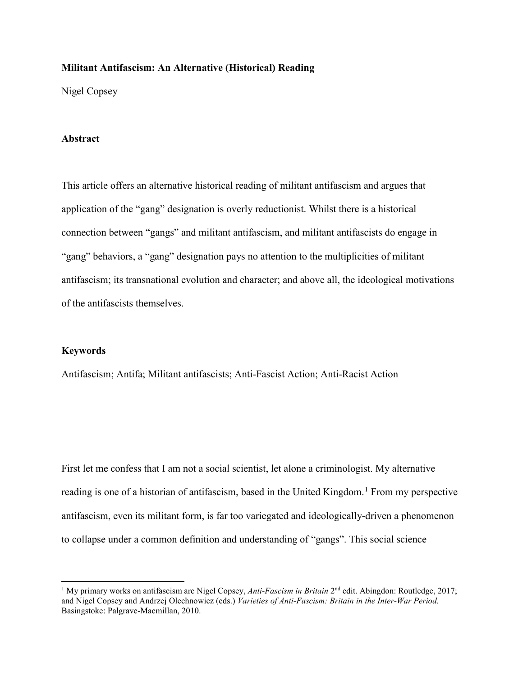# **Militant Antifascism: An Alternative (Historical) Reading**

Nigel Copsey

### **Abstract**

This article offers an alternative historical reading of militant antifascism and argues that application of the "gang" designation is overly reductionist. Whilst there is a historical connection between "gangs" and militant antifascism, and militant antifascists do engage in "gang" behaviors, a "gang" designation pays no attention to the multiplicities of militant antifascism; its transnational evolution and character; and above all, the ideological motivations of the antifascists themselves.

### **Keywords**

l

Antifascism; Antifa; Militant antifascists; Anti-Fascist Action; Anti-Racist Action

First let me confess that I am not a social scientist, let alone a criminologist. My alternative reading is one of a historian of antifascism, based in the United Kingdom.<sup>[1](#page-0-0)</sup> From my perspective antifascism, even its militant form, is far too variegated and ideologically-driven a phenomenon to collapse under a common definition and understanding of "gangs". This social science

<span id="page-0-0"></span><sup>&</sup>lt;sup>1</sup> My primary works on antifascism are Nigel Copsey, *Anti-Fascism in Britain* 2<sup>nd</sup> edit. Abingdon: Routledge, 2017; and Nigel Copsey and Andrzej Olechnowicz (eds.) *Varieties of Anti-Fascism: Britain in the Inter-War Period.* Basingstoke: Palgrave-Macmillan, 2010.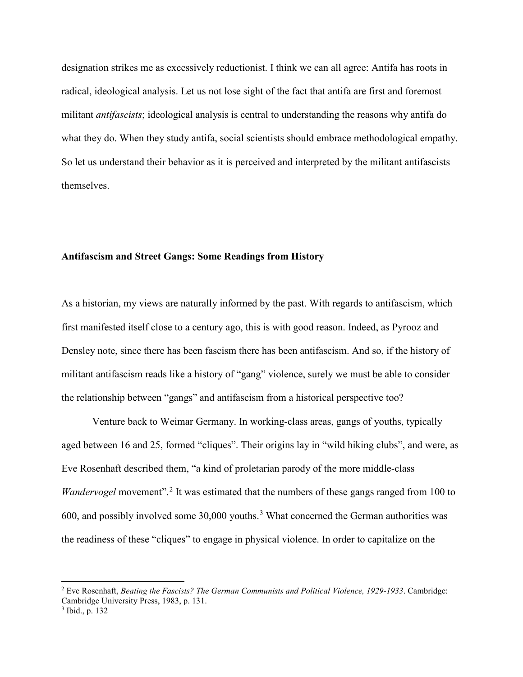designation strikes me as excessively reductionist. I think we can all agree: Antifa has roots in radical, ideological analysis. Let us not lose sight of the fact that antifa are first and foremost militant *antifascists*; ideological analysis is central to understanding the reasons why antifa do what they do. When they study antifa, social scientists should embrace methodological empathy. So let us understand their behavior as it is perceived and interpreted by the militant antifascists themselves.

## **Antifascism and Street Gangs: Some Readings from History**

As a historian, my views are naturally informed by the past. With regards to antifascism, which first manifested itself close to a century ago, this is with good reason. Indeed, as Pyrooz and Densley note, since there has been fascism there has been antifascism. And so, if the history of militant antifascism reads like a history of "gang" violence, surely we must be able to consider the relationship between "gangs" and antifascism from a historical perspective too?

Venture back to Weimar Germany. In working-class areas, gangs of youths, typically aged between 16 and 25, formed "cliques". Their origins lay in "wild hiking clubs", and were, as Eve Rosenhaft described them, "a kind of proletarian parody of the more middle-class *Wandervogel* movement".<sup>[2](#page-1-0)</sup> It was estimated that the numbers of these gangs ranged from 100 to 600, and possibly involved some [3](#page-1-1)0,000 youths.<sup>3</sup> What concerned the German authorities was the readiness of these "cliques" to engage in physical violence. In order to capitalize on the

<span id="page-1-0"></span><sup>2</sup> Eve Rosenhaft, *Beating the Fascists? The German Communists and Political Violence, 1929-1933*. Cambridge: Cambridge University Press, 1983, p. 131.<br><sup>3</sup> Ibid., p. 132

<span id="page-1-1"></span>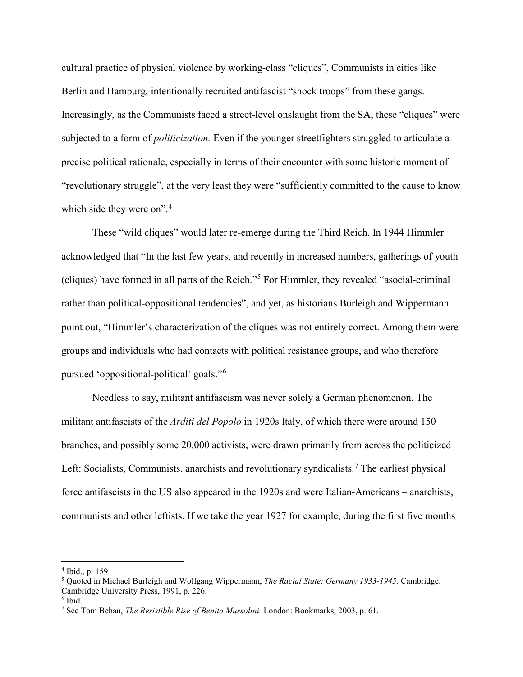cultural practice of physical violence by working-class "cliques", Communists in cities like Berlin and Hamburg, intentionally recruited antifascist "shock troops" from these gangs. Increasingly, as the Communists faced a street-level onslaught from the SA, these "cliques" were subjected to a form of *politicization.* Even if the younger streetfighters struggled to articulate a precise political rationale, especially in terms of their encounter with some historic moment of "revolutionary struggle", at the very least they were "sufficiently committed to the cause to know which side they were on".<sup>[4](#page-2-0)</sup>

These "wild cliques" would later re-emerge during the Third Reich. In 1944 Himmler acknowledged that "In the last few years, and recently in increased numbers, gatherings of youth (cliques) have formed in all parts of the Reich."[5](#page-2-1) For Himmler, they revealed "asocial-criminal rather than political-oppositional tendencies", and yet, as historians Burleigh and Wippermann point out, "Himmler's characterization of the cliques was not entirely correct. Among them were groups and individuals who had contacts with political resistance groups, and who therefore pursued 'oppositional-political' goals."[6](#page-2-2)

Needless to say, militant antifascism was never solely a German phenomenon. The militant antifascists of the *Arditi del Popolo* in 1920s Italy, of which there were around 150 branches, and possibly some 20,000 activists, were drawn primarily from across the politicized Left: Socialists, Communists, anarchists and revolutionary syndicalists.<sup>[7](#page-2-3)</sup> The earliest physical force antifascists in the US also appeared in the 1920s and were Italian-Americans – anarchists, communists and other leftists. If we take the year 1927 for example, during the first five months

 $\overline{\phantom{a}}$ 

<span id="page-2-0"></span><sup>4</sup> Ibid., p. 159

<span id="page-2-1"></span><sup>5</sup> Quoted in Michael Burleigh and Wolfgang Wippermann, *The Racial State: Germany 1933-1945.* Cambridge:

Cambridge University Press, 1991, p. 226.

<span id="page-2-2"></span> $6$  Ibid.

<span id="page-2-3"></span><sup>7</sup> See Tom Behan, *The Resistible Rise of Benito Mussolini.* London: Bookmarks, 2003, p. 61.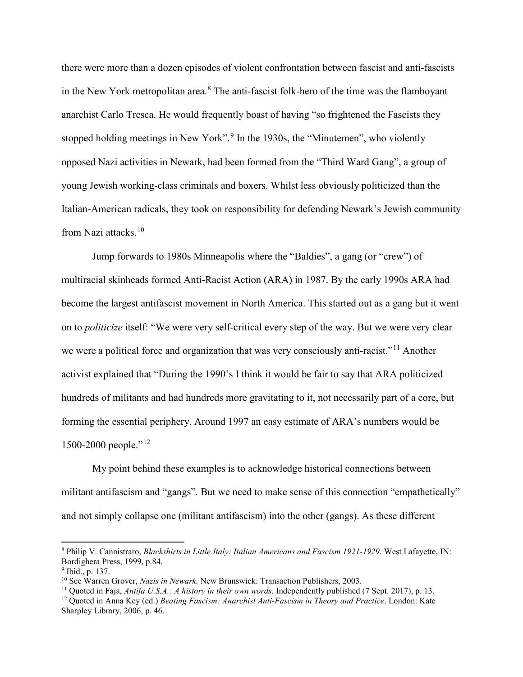there were more than a dozen episodes of violent confrontation between fascist and anti-fascists in the New York metropolitan area. $8$  The anti-fascist folk-hero of the time was the flamboyant anarchist Carlo Tresca. He would frequently boast of having "so frightened the Fascists they stopped holding meetings in New York".<sup>[9](#page-3-1)</sup> In the 1930s, the "Minutemen", who violently opposed Nazi activities in Newark, had been formed from the "Third Ward Gang", a group of young Jewish working-class criminals and boxers. Whilst less obviously politicized than the Italian-American radicals, they took on responsibility for defending Newark's Jewish community from Nazi attacks.[10](#page-3-2) 

Jump forwards to 1980s Minneapolis where the "Baldies", a gang (or "crew") of multiracial skinheads formed Anti-Racist Action (ARA) in 1987. By the early 1990s ARA had become the largest antifascist movement in North America. This started out as a gang but it went on to *politicize* itself: "We were very self-critical every step of the way. But we were very clear we were a political force and organization that was very consciously anti-racist."<sup>[11](#page-3-3)</sup> Another activist explained that "During the 1990's I think it would be fair to say that ARA politicized hundreds of militants and had hundreds more gravitating to it, not necessarily part of a core, but forming the essential periphery. Around 1997 an easy estimate of ARA's numbers would be 1500-2000 people."<sup>[12](#page-3-4)</sup>

My point behind these examples is to acknowledge historical connections between militant antifascism and "gangs". But we need to make sense of this connection "empathetically" and not simply collapse one (militant antifascism) into the other (gangs). As these different

<span id="page-3-0"></span><sup>8</sup> Philip V. Cannistraro, *Blackshirts in Little Italy: Italian Americans and Fascism 1921-1929*. West Lafayette, IN: Bordighera Press, 1999, p.84.

<span id="page-3-2"></span>

<span id="page-3-1"></span><sup>&</sup>lt;sup>9</sup> Ibid., p. 137.<br><sup>10</sup> See Warren Grover, *Nazis in Newark*. New Brunswick: Transaction Publishers, 2003.

<span id="page-3-3"></span><sup>11</sup> Quoted in Faja, *Antifa U.S.A.: A history in their own words.* Independently published (7 Sept. 2017), p. 13.

<span id="page-3-4"></span><sup>12</sup> Quoted in Anna Key (ed.) *Beating Fascism: Anarchist Anti-Fascism in Theory and Practice*. London: Kate Sharpley Library, 2006, p. 46.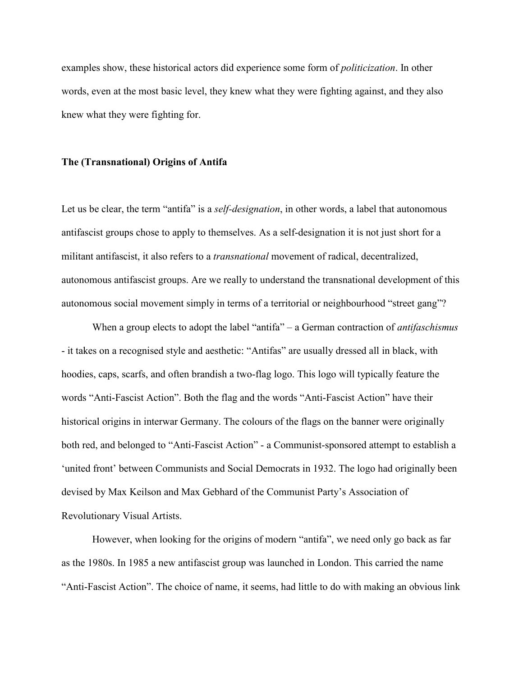examples show, these historical actors did experience some form of *politicization*. In other words, even at the most basic level, they knew what they were fighting against, and they also knew what they were fighting for.

### **The (Transnational) Origins of Antifa**

Let us be clear, the term "antifa" is a *self-designation*, in other words, a label that autonomous antifascist groups chose to apply to themselves. As a self-designation it is not just short for a militant antifascist, it also refers to a *transnational* movement of radical, decentralized, autonomous antifascist groups. Are we really to understand the transnational development of this autonomous social movement simply in terms of a territorial or neighbourhood "street gang"?

When a group elects to adopt the label "antifa" – a German contraction of *antifaschismus* - it takes on a recognised style and aesthetic: "Antifas" are usually dressed all in black, with hoodies, caps, scarfs, and often brandish a two-flag logo. This logo will typically feature the words "Anti-Fascist Action". Both the flag and the words "Anti-Fascist Action" have their historical origins in interwar Germany. The colours of the flags on the banner were originally both red, and belonged to "Anti-Fascist Action" - a Communist-sponsored attempt to establish a 'united front' between Communists and Social Democrats in 1932. The logo had originally been devised by Max Keilson and Max Gebhard of the Communist Party's Association of Revolutionary Visual Artists.

 However, when looking for the origins of modern "antifa", we need only go back as far as the 1980s. In 1985 a new antifascist group was launched in London. This carried the name "Anti-Fascist Action". The choice of name, it seems, had little to do with making an obvious link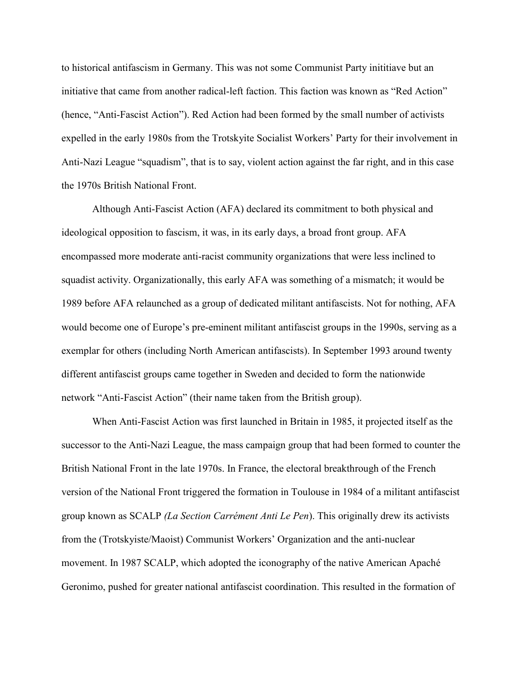to historical antifascism in Germany. This was not some Communist Party inititiave but an initiative that came from another radical-left faction. This faction was known as "Red Action" (hence, "Anti-Fascist Action"). Red Action had been formed by the small number of activists expelled in the early 1980s from the Trotskyite Socialist Workers' Party for their involvement in Anti-Nazi League "squadism", that is to say, violent action against the far right, and in this case the 1970s British National Front.

Although Anti-Fascist Action (AFA) declared its commitment to both physical and ideological opposition to fascism, it was, in its early days, a broad front group. AFA encompassed more moderate anti-racist community organizations that were less inclined to squadist activity. Organizationally, this early AFA was something of a mismatch; it would be 1989 before AFA relaunched as a group of dedicated militant antifascists. Not for nothing, AFA would become one of Europe's pre-eminent militant antifascist groups in the 1990s, serving as a exemplar for others (including North American antifascists). In September 1993 around twenty different antifascist groups came together in Sweden and decided to form the nationwide network "Anti-Fascist Action" (their name taken from the British group).

When Anti-Fascist Action was first launched in Britain in 1985, it projected itself as the successor to the Anti-Nazi League, the mass campaign group that had been formed to counter the British National Front in the late 1970s. In France, the electoral breakthrough of the French version of the National Front triggered the formation in Toulouse in 1984 of a militant antifascist group known as SCALP *(La Section Carrément Anti Le Pen*). This originally drew its activists from the (Trotskyiste/Maoist) Communist Workers' Organization and the anti-nuclear movement. In 1987 SCALP, which adopted the iconography of the native American Apaché Geronimo, pushed for greater national antifascist coordination. This resulted in the formation of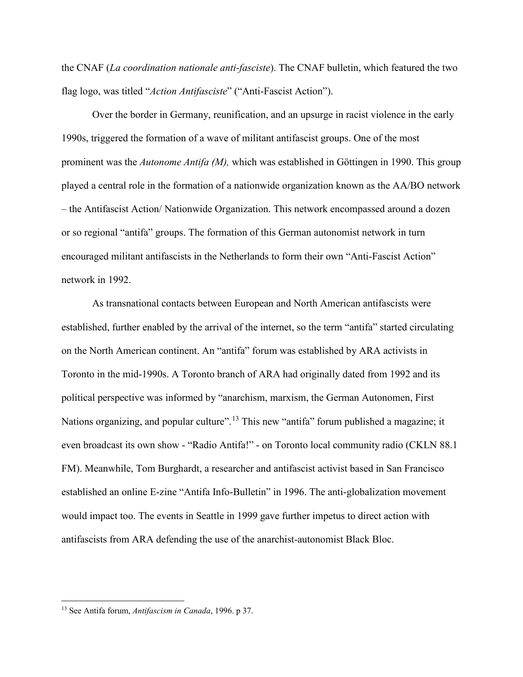the CNAF (*La coordination nationale anti-fasciste*). The CNAF bulletin, which featured the two flag logo, was titled "*Action Antifasciste*" ("Anti-Fascist Action").

Over the border in Germany, reunification, and an upsurge in racist violence in the early 1990s, triggered the formation of a wave of militant antifascist groups. One of the most prominent was the *Autonome Antifa (M),* which was established in Göttingen in 1990. This group played a central role in the formation of a nationwide organization known as the AA/BO network – the Antifascist Action/ Nationwide Organization. This network encompassed around a dozen or so regional "antifa" groups. The formation of this German autonomist network in turn encouraged militant antifascists in the Netherlands to form their own "Anti-Fascist Action" network in 1992.

As transnational contacts between European and North American antifascists were established, further enabled by the arrival of the internet, so the term "antifa" started circulating on the North American continent. An "antifa" forum was established by ARA activists in Toronto in the mid-1990s. A Toronto branch of ARA had originally dated from 1992 and its political perspective was informed by "anarchism, marxism, the German Autonomen, First Nations organizing, and popular culture".<sup>[13](#page-6-0)</sup> This new "antifa" forum published a magazine; it even broadcast its own show - "Radio Antifa!" - on Toronto local community radio (CKLN 88.1 FM). Meanwhile, Tom Burghardt, a researcher and antifascist activist based in San Francisco established an online E-zine "Antifa Info-Bulletin" in 1996. The anti-globalization movement would impact too. The events in Seattle in 1999 gave further impetus to direct action with antifascists from ARA defending the use of the anarchist-autonomist Black Bloc.

<span id="page-6-0"></span><sup>13</sup> See Antifa forum, *Antifascism in Canada*, 1996. p 37.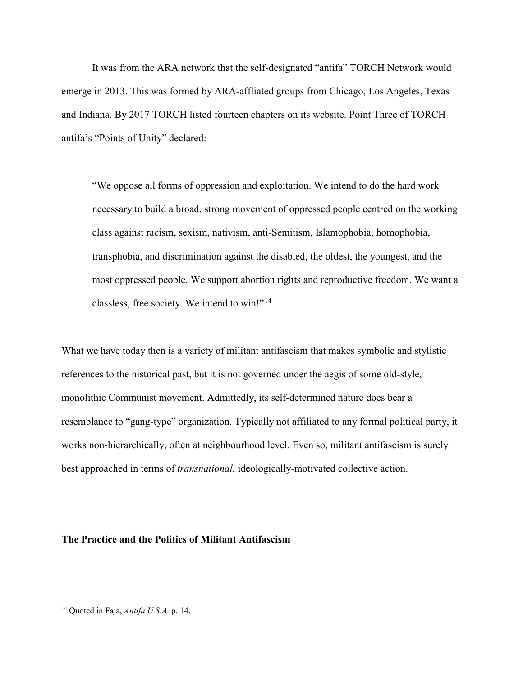It was from the ARA network that the self-designated "antifa" TORCH Network would emerge in 2013. This was formed by ARA-affliated groups from Chicago, Los Angeles, Texas and Indiana. By 2017 TORCH listed fourteen chapters on its website. Point Three of TORCH antifa's "Points of Unity" declared:

"We oppose all forms of oppression and exploitation. We intend to do the hard work necessary to build a broad, strong movement of oppressed people centred on the working class against racism, sexism, nativism, anti-Semitism, Islamophobia, homophobia, transphobia, and discrimination against the disabled, the oldest, the youngest, and the most oppressed people. We support abortion rights and reproductive freedom. We want a classless, free society. We intend to win!"[14](#page-7-0) 

What we have today then is a variety of militant antifascism that makes symbolic and stylistic references to the historical past, but it is not governed under the aegis of some old-style, monolithic Communist movement. Admittedly, its self-determined nature does bear a resemblance to "gang-type" organization. Typically not affiliated to any formal political party, it works non-hierarchically, often at neighbourhood level. Even so, militant antifascism is surely best approached in terms of *transnational*, ideologically-motivated collective action.

## **The Practice and the Politics of Militant Antifascism**

<span id="page-7-0"></span><sup>14</sup> Quoted in Faja, *Antifa U.S.A,* p. 14.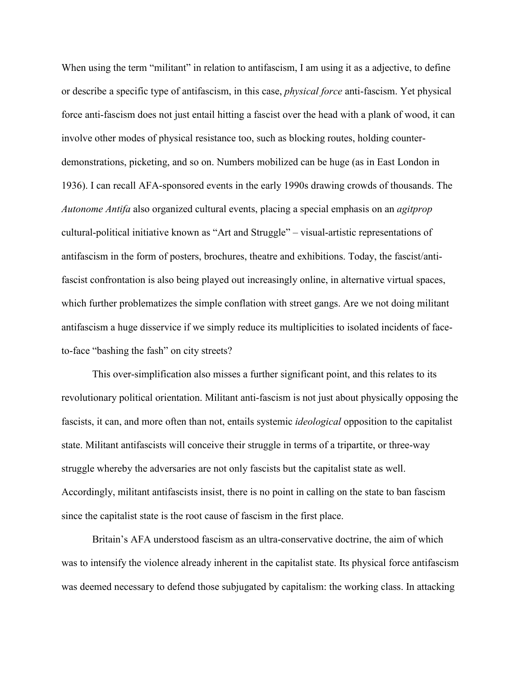When using the term "militant" in relation to antifascism, I am using it as a adjective, to define or describe a specific type of antifascism, in this case, *physical force* anti-fascism. Yet physical force anti-fascism does not just entail hitting a fascist over the head with a plank of wood, it can involve other modes of physical resistance too, such as blocking routes, holding counterdemonstrations, picketing, and so on. Numbers mobilized can be huge (as in East London in 1936). I can recall AFA-sponsored events in the early 1990s drawing crowds of thousands. The *Autonome Antifa* also organized cultural events, placing a special emphasis on an *agitprop* cultural-political initiative known as "Art and Struggle" – visual-artistic representations of antifascism in the form of posters, brochures, theatre and exhibitions. Today, the fascist/antifascist confrontation is also being played out increasingly online, in alternative virtual spaces, which further problematizes the simple conflation with street gangs. Are we not doing militant antifascism a huge disservice if we simply reduce its multiplicities to isolated incidents of faceto-face "bashing the fash" on city streets?

This over-simplification also misses a further significant point, and this relates to its revolutionary political orientation. Militant anti-fascism is not just about physically opposing the fascists, it can, and more often than not, entails systemic *ideological* opposition to the capitalist state. Militant antifascists will conceive their struggle in terms of a tripartite, or three-way struggle whereby the adversaries are not only fascists but the capitalist state as well. Accordingly, militant antifascists insist, there is no point in calling on the state to ban fascism since the capitalist state is the root cause of fascism in the first place.

Britain's AFA understood fascism as an ultra-conservative doctrine, the aim of which was to intensify the violence already inherent in the capitalist state. Its physical force antifascism was deemed necessary to defend those subjugated by capitalism: the working class. In attacking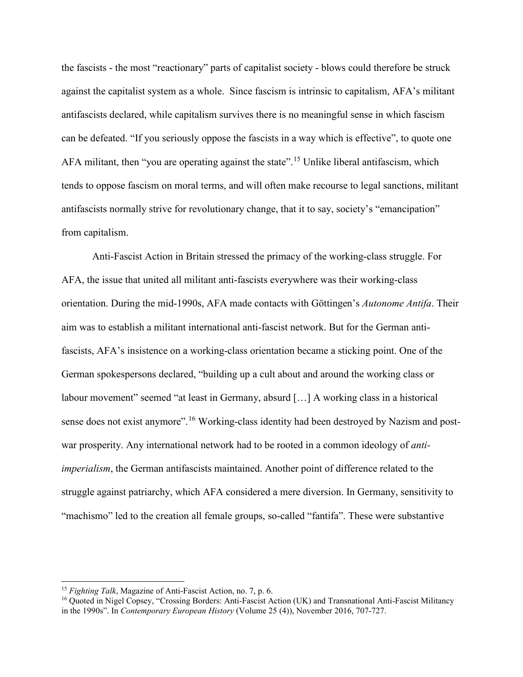the fascists - the most "reactionary" parts of capitalist society - blows could therefore be struck against the capitalist system as a whole. Since fascism is intrinsic to capitalism, AFA's militant antifascists declared, while capitalism survives there is no meaningful sense in which fascism can be defeated. "If you seriously oppose the fascists in a way which is effective", to quote one AFA militant, then "you are operating against the state".<sup>[15](#page-9-0)</sup> Unlike liberal antifascism, which tends to oppose fascism on moral terms, and will often make recourse to legal sanctions, militant antifascists normally strive for revolutionary change, that it to say, society's "emancipation" from capitalism.

Anti-Fascist Action in Britain stressed the primacy of the working-class struggle. For AFA, the issue that united all militant anti-fascists everywhere was their working-class orientation. During the mid-1990s, AFA made contacts with Göttingen's *Autonome Antifa*. Their aim was to establish a militant international anti-fascist network. But for the German antifascists, AFA's insistence on a working-class orientation became a sticking point. One of the German spokespersons declared, "building up a cult about and around the working class or labour movement" seemed "at least in Germany, absurd […] A working class in a historical sense does not exist anymore". <sup>16</sup> Working-class identity had been destroyed by Nazism and postwar prosperity. Any international network had to be rooted in a common ideology of *antiimperialism*, the German antifascists maintained. Another point of difference related to the struggle against patriarchy, which AFA considered a mere diversion. In Germany, sensitivity to "machismo" led to the creation all female groups, so-called "fantifa". These were substantive

<span id="page-9-0"></span><sup>15</sup> *Fighting Talk*, Magazine of Anti-Fascist Action, no. 7, p. 6.

<span id="page-9-1"></span><sup>&</sup>lt;sup>16</sup> Quoted in Nigel Copsey, "Crossing Borders: Anti-Fascist Action (UK) and Transnational Anti-Fascist Militancy in the 1990s". In *Contemporary European History* (Volume 25 (4)), November 2016, 707-727.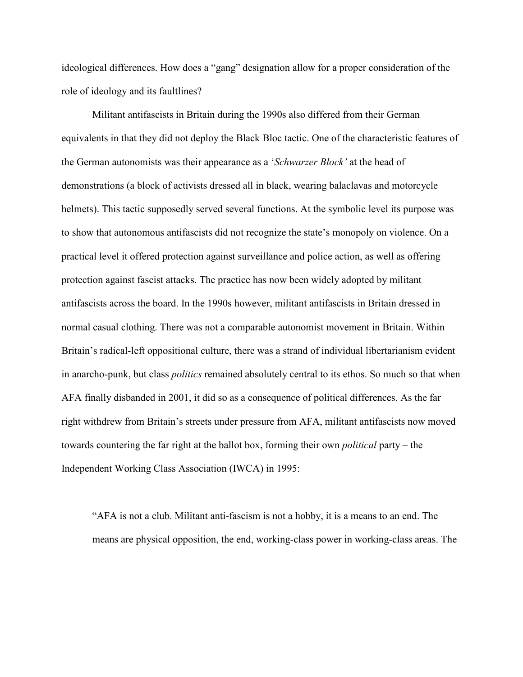ideological differences. How does a "gang" designation allow for a proper consideration of the role of ideology and its faultlines?

Militant antifascists in Britain during the 1990s also differed from their German equivalents in that they did not deploy the Black Bloc tactic. One of the characteristic features of the German autonomists was their appearance as a '*Schwarzer Block'* at the head of demonstrations (a block of activists dressed all in black, wearing balaclavas and motorcycle helmets). This tactic supposedly served several functions. At the symbolic level its purpose was to show that autonomous antifascists did not recognize the state's monopoly on violence. On a practical level it offered protection against surveillance and police action, as well as offering protection against fascist attacks. The practice has now been widely adopted by militant antifascists across the board. In the 1990s however, militant antifascists in Britain dressed in normal casual clothing. There was not a comparable autonomist movement in Britain. Within Britain's radical-left oppositional culture, there was a strand of individual libertarianism evident in anarcho-punk, but class *politics* remained absolutely central to its ethos. So much so that when AFA finally disbanded in 2001, it did so as a consequence of political differences. As the far right withdrew from Britain's streets under pressure from AFA, militant antifascists now moved towards countering the far right at the ballot box, forming their own *political* party – the Independent Working Class Association (IWCA) in 1995:

"AFA is not a club. Militant anti-fascism is not a hobby, it is a means to an end. The means are physical opposition, the end, working-class power in working-class areas. The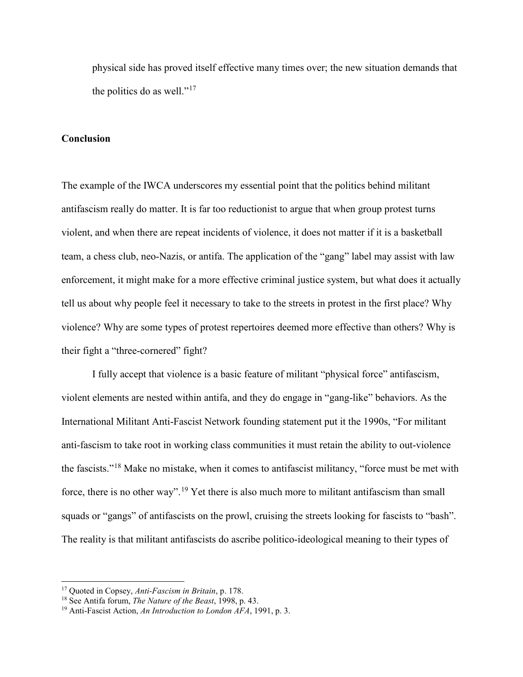physical side has proved itself effective many times over; the new situation demands that the politics do as well."<sup>[17](#page-11-0)</sup>

#### **Conclusion**

The example of the IWCA underscores my essential point that the politics behind militant antifascism really do matter. It is far too reductionist to argue that when group protest turns violent, and when there are repeat incidents of violence, it does not matter if it is a basketball team, a chess club, neo-Nazis, or antifa. The application of the "gang" label may assist with law enforcement, it might make for a more effective criminal justice system, but what does it actually tell us about why people feel it necessary to take to the streets in protest in the first place? Why violence? Why are some types of protest repertoires deemed more effective than others? Why is their fight a "three-cornered" fight?

I fully accept that violence is a basic feature of militant "physical force" antifascism, violent elements are nested within antifa, and they do engage in "gang-like" behaviors. As the International Militant Anti-Fascist Network founding statement put it the 1990s, "For militant anti-fascism to take root in working class communities it must retain the ability to out-violence the fascists."[18](#page-11-1) Make no mistake, when it comes to antifascist militancy, "force must be met with force, there is no other way".<sup>[19](#page-11-2)</sup> Yet there is also much more to militant antifascism than small squads or "gangs" of antifascists on the prowl, cruising the streets looking for fascists to "bash". The reality is that militant antifascists do ascribe politico-ideological meaning to their types of

<span id="page-11-0"></span><sup>17</sup> Quoted in Copsey, *Anti-Fascism in Britain*, p. 178.

<span id="page-11-2"></span>

<span id="page-11-1"></span><sup>&</sup>lt;sup>18</sup> See Antifa forum, *The Nature of the Beast*, 1998, p. 43.<br><sup>19</sup> Anti-Fascist Action, *An Introduction to London AFA*, 1991, p. 3.